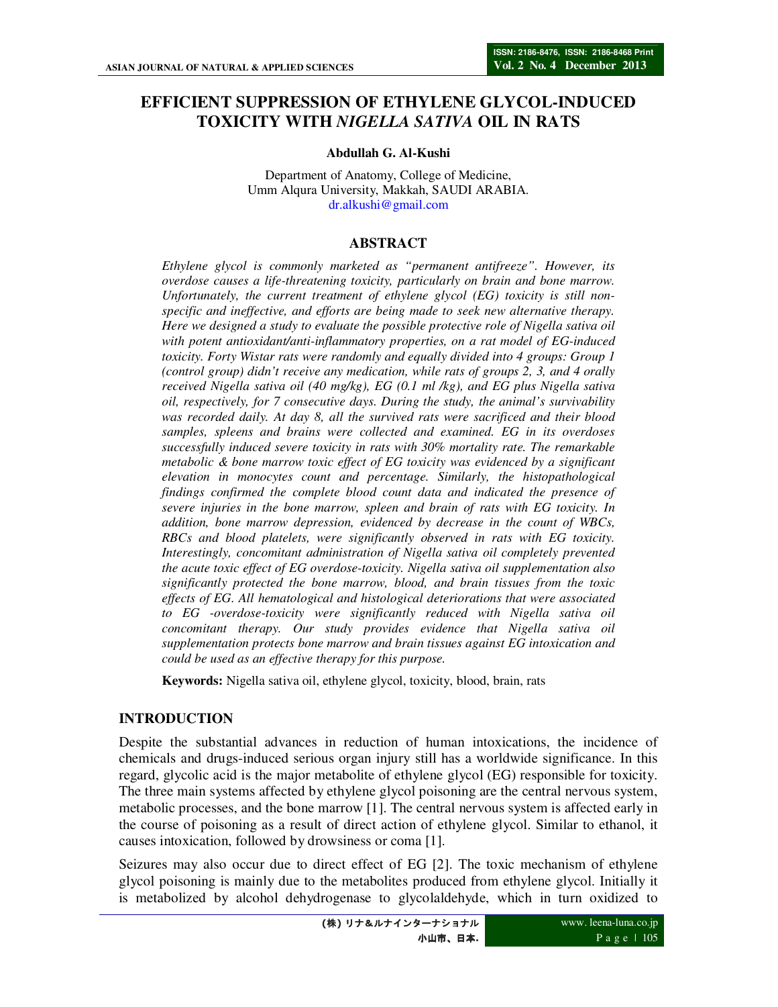# **EFFICIENT SUPPRESSION OF ETHYLENE GLYCOL-INDUCED TOXICITY WITH** *NIGELLA SATIVA* **OIL IN RATS**

#### **Abdullah G. Al-Kushi**

Department of Anatomy, College of Medicine, Umm Alqura University, Makkah, SAUDI ARABIA. dr.alkushi@gmail.com

#### **ABSTRACT**

*Ethylene glycol is commonly marketed as "permanent antifreeze". However, its overdose causes a life-threatening toxicity, particularly on brain and bone marrow. Unfortunately, the current treatment of ethylene glycol (EG) toxicity is still nonspecific and ineffective, and efforts are being made to seek new alternative therapy. Here we designed a study to evaluate the possible protective role of Nigella sativa oil with potent antioxidant/anti-inflammatory properties, on a rat model of EG-induced toxicity. Forty Wistar rats were randomly and equally divided into 4 groups: Group 1 (control group) didn't receive any medication, while rats of groups 2, 3, and 4 orally received Nigella sativa oil (40 mg/kg), EG (0.1 ml /kg), and EG plus Nigella sativa oil, respectively, for 7 consecutive days. During the study, the animal's survivability was recorded daily. At day 8, all the survived rats were sacrificed and their blood samples, spleens and brains were collected and examined. EG in its overdoses successfully induced severe toxicity in rats with 30% mortality rate. The remarkable metabolic & bone marrow toxic effect of EG toxicity was evidenced by a significant elevation in monocytes count and percentage. Similarly, the histopathological findings confirmed the complete blood count data and indicated the presence of severe injuries in the bone marrow, spleen and brain of rats with EG toxicity. In addition, bone marrow depression, evidenced by decrease in the count of WBCs, RBCs and blood platelets, were significantly observed in rats with EG toxicity. Interestingly, concomitant administration of Nigella sativa oil completely prevented the acute toxic effect of EG overdose-toxicity. Nigella sativa oil supplementation also significantly protected the bone marrow, blood, and brain tissues from the toxic effects of EG. All hematological and histological deteriorations that were associated to EG -overdose-toxicity were significantly reduced with Nigella sativa oil concomitant therapy. Our study provides evidence that Nigella sativa oil supplementation protects bone marrow and brain tissues against EG intoxication and could be used as an effective therapy for this purpose.* 

**Keywords:** Nigella sativa oil, ethylene glycol, toxicity, blood, brain, rats

### **INTRODUCTION**

Despite the substantial advances in reduction of human intoxications, the incidence of chemicals and drugs-induced serious organ injury still has a worldwide significance. In this regard, glycolic acid is the major metabolite of ethylene glycol (EG) responsible for toxicity. The three main systems affected by ethylene glycol poisoning are the central nervous system, metabolic processes, and the bone marrow [1]. The central nervous system is affected early in the course of poisoning as a result of direct action of ethylene glycol. Similar to ethanol, it causes intoxication, followed by drowsiness or coma [1].

Seizures may also occur due to direct effect of EG [2]. The toxic mechanism of ethylene glycol poisoning is mainly due to the metabolites produced from ethylene glycol. Initially it is metabolized by alcohol dehydrogenase to glycolaldehyde, which in turn oxidized to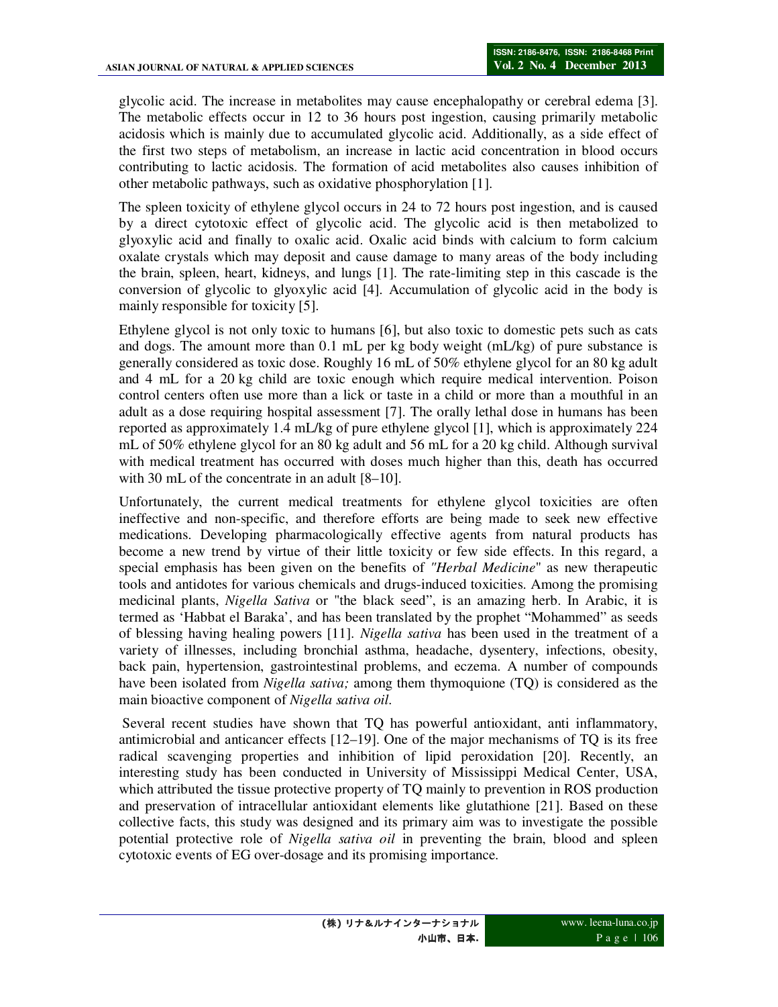glycolic acid. The increase in metabolites may cause encephalopathy or cerebral edema [3]. The metabolic effects occur in 12 to 36 hours post ingestion, causing primarily metabolic acidosis which is mainly due to accumulated glycolic acid. Additionally, as a side effect of the first two steps of metabolism, an increase in lactic acid concentration in blood occurs contributing to lactic acidosis. The formation of acid metabolites also causes inhibition of other metabolic pathways, such as oxidative phosphorylation [1].

The spleen toxicity of ethylene glycol occurs in 24 to 72 hours post ingestion, and is caused by a direct cytotoxic effect of glycolic acid. The glycolic acid is then metabolized to glyoxylic acid and finally to oxalic acid. Oxalic acid binds with calcium to form calcium oxalate crystals which may deposit and cause damage to many areas of the body including the brain, spleen, heart, kidneys, and lungs [1]. The rate-limiting step in this cascade is the conversion of glycolic to glyoxylic acid [4]. Accumulation of glycolic acid in the body is mainly responsible for toxicity [5].

Ethylene glycol is not only toxic to humans [6], but also toxic to domestic pets such as cats and dogs. The amount more than 0.1 mL per kg body weight (mL/kg) of pure substance is generally considered as toxic dose. Roughly 16 mL of 50% ethylene glycol for an 80 kg adult and 4 mL for a 20 kg child are toxic enough which require medical intervention. Poison control centers often use more than a lick or taste in a child or more than a mouthful in an adult as a dose requiring hospital assessment [7]. The orally lethal dose in humans has been reported as approximately 1.4 mL/kg of pure ethylene glycol [1], which is approximately 224 mL of 50% ethylene glycol for an 80 kg adult and 56 mL for a 20 kg child. Although survival with medical treatment has occurred with doses much higher than this, death has occurred with 30 mL of the concentrate in an adult [8–10].

Unfortunately, the current medical treatments for ethylene glycol toxicities are often ineffective and non-specific, and therefore efforts are being made to seek new effective medications. Developing pharmacologically effective agents from natural products has become a new trend by virtue of their little toxicity or few side effects. In this regard, a special emphasis has been given on the benefits of *"Herbal Medicine*" as new therapeutic tools and antidotes for various chemicals and drugs-induced toxicities. Among the promising medicinal plants, *Nigella Sativa* or "the black seed", is an amazing herb. In Arabic, it is termed as 'Habbat el Baraka', and has been translated by the prophet "Mohammed" as seeds of blessing having healing powers [11]. *Nigella sativa* has been used in the treatment of a variety of illnesses, including bronchial asthma, headache, dysentery, infections, obesity, back pain, hypertension, gastrointestinal problems, and eczema. A number of compounds have been isolated from *Nigella sativa;* among them thymoquione (TQ) is considered as the main bioactive component of *Nigella sativa oil.* 

Several recent studies have shown that TQ has powerful antioxidant, anti inflammatory, antimicrobial and anticancer effects [12–19]. One of the major mechanisms of TQ is its free radical scavenging properties and inhibition of lipid peroxidation [20]. Recently, an interesting study has been conducted in University of Mississippi Medical Center, USA, which attributed the tissue protective property of TQ mainly to prevention in ROS production and preservation of intracellular antioxidant elements like glutathione [21]. Based on these collective facts, this study was designed and its primary aim was to investigate the possible potential protective role of *Nigella sativa oil* in preventing the brain, blood and spleen cytotoxic events of EG over-dosage and its promising importance.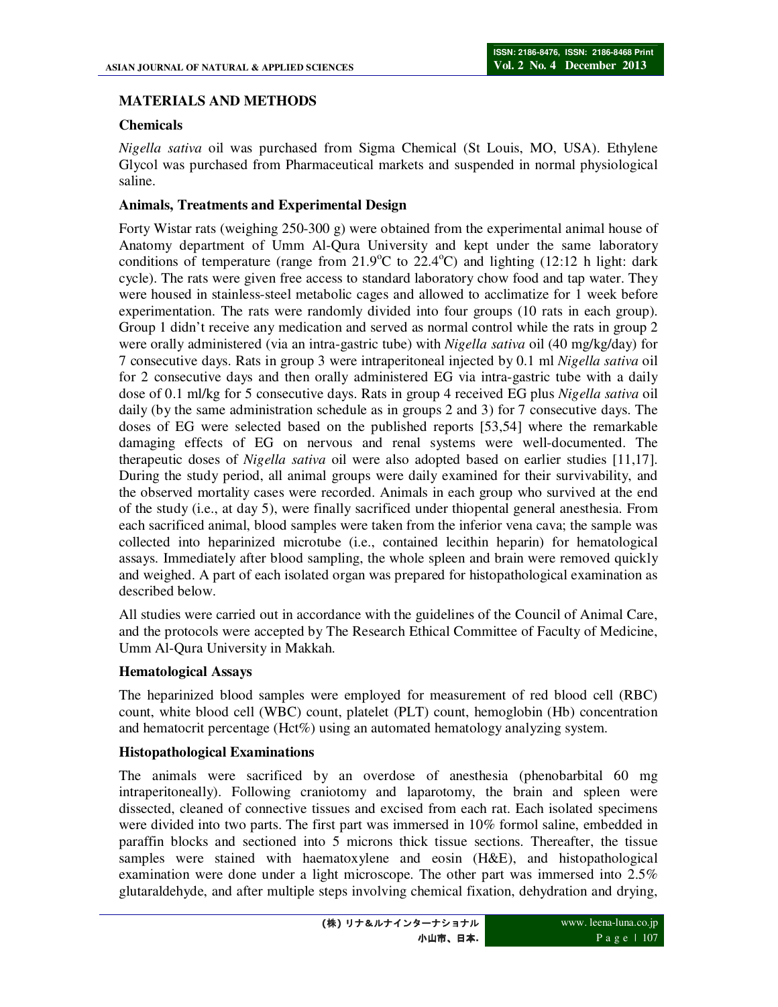# **MATERIALS AND METHODS**

# **Chemicals**

*Nigella sativa* oil was purchased from Sigma Chemical (St Louis, MO, USA). Ethylene Glycol was purchased from Pharmaceutical markets and suspended in normal physiological saline.

# **Animals, Treatments and Experimental Design**

Forty Wistar rats (weighing 250-300 g) were obtained from the experimental animal house of Anatomy department of Umm Al-Qura University and kept under the same laboratory conditions of temperature (range from  $21.9^{\circ}$ C to  $22.4^{\circ}$ C) and lighting (12:12 h light: dark cycle). The rats were given free access to standard laboratory chow food and tap water. They were housed in stainless-steel metabolic cages and allowed to acclimatize for 1 week before experimentation. The rats were randomly divided into four groups (10 rats in each group). Group 1 didn't receive any medication and served as normal control while the rats in group 2 were orally administered (via an intra-gastric tube) with *Nigella sativa* oil (40 mg/kg/day) for 7 consecutive days. Rats in group 3 were intraperitoneal injected by 0.1 ml *Nigella sativa* oil for 2 consecutive days and then orally administered EG via intra-gastric tube with a daily dose of 0.1 ml/kg for 5 consecutive days. Rats in group 4 received EG plus *Nigella sativa* oil daily (by the same administration schedule as in groups 2 and 3) for 7 consecutive days. The doses of EG were selected based on the published reports [53,54] where the remarkable damaging effects of EG on nervous and renal systems were well-documented. The therapeutic doses of *Nigella sativa* oil were also adopted based on earlier studies [11,17]. During the study period, all animal groups were daily examined for their survivability, and the observed mortality cases were recorded. Animals in each group who survived at the end of the study (i.e., at day 5), were finally sacrificed under thiopental general anesthesia. From each sacrificed animal, blood samples were taken from the inferior vena cava; the sample was collected into heparinized microtube (i.e., contained lecithin heparin) for hematological assays. Immediately after blood sampling, the whole spleen and brain were removed quickly and weighed. A part of each isolated organ was prepared for histopathological examination as described below.

All studies were carried out in accordance with the guidelines of the Council of Animal Care, and the protocols were accepted by The Research Ethical Committee of Faculty of Medicine, Umm Al-Qura University in Makkah.

### **Hematological Assays**

The heparinized blood samples were employed for measurement of red blood cell (RBC) count, white blood cell (WBC) count, platelet (PLT) count, hemoglobin (Hb) concentration and hematocrit percentage (Hct%) using an automated hematology analyzing system.

### **Histopathological Examinations**

The animals were sacrificed by an overdose of anesthesia (phenobarbital 60 mg intraperitoneally). Following craniotomy and laparotomy, the brain and spleen were dissected, cleaned of connective tissues and excised from each rat. Each isolated specimens were divided into two parts. The first part was immersed in 10% formol saline, embedded in paraffin blocks and sectioned into 5 microns thick tissue sections. Thereafter, the tissue samples were stained with haematoxylene and eosin (H&E), and histopathological examination were done under a light microscope. The other part was immersed into 2.5% glutaraldehyde, and after multiple steps involving chemical fixation, dehydration and drying,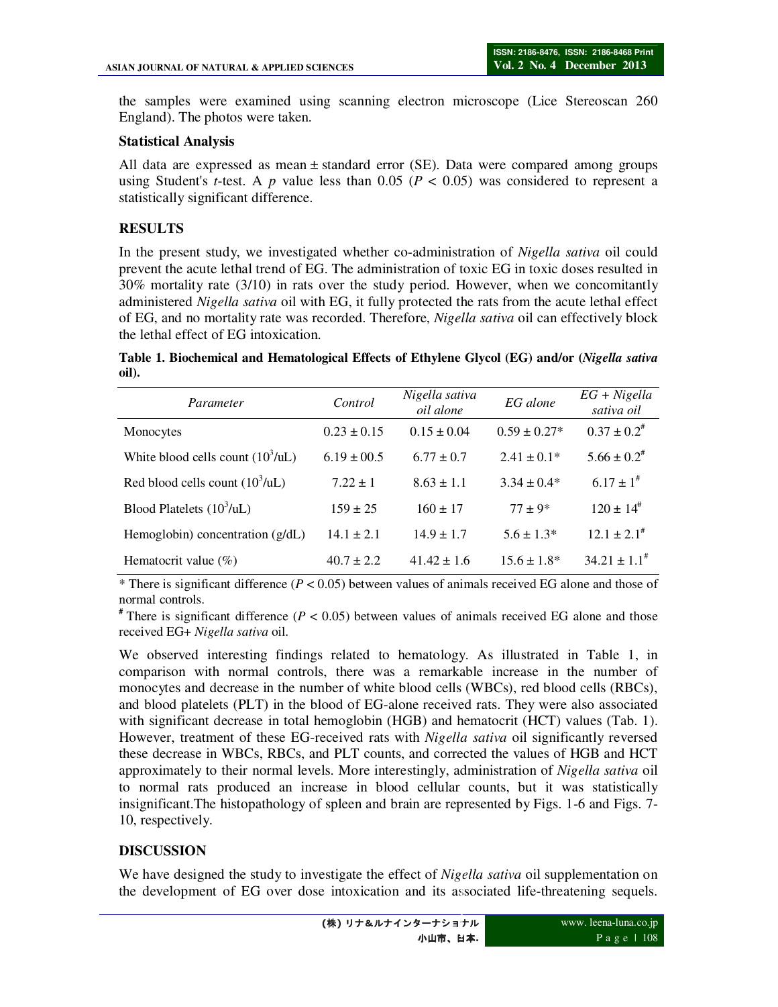the samples were examined using scanning electron microscope (Lice Stereoscan 260 England). The photos were taken.

#### **Statistical Analysis**

All data are expressed as mean  $\pm$  standard error (SE). Data were compared among groups using Student's *t*-test. A  $p$  value less than 0.05 ( $P < 0.05$ ) was considered to represent a statistically significant difference.

# **RESULTS**

In the present study, we investigated whether co-administration of *Nigella sativa* oil could prevent the acute lethal trend of EG. The administration of toxic EG in toxic doses resulted in 30% mortality rate (3/10) in rats over the study period. However, when we concomitantly administered *Nigella sativa* oil with EG, it fully protected the rats from the acute lethal effect of EG, and no mortality rate was recorded. Therefore, *Nigella sativa* oil can effectively block the lethal effect of EG intoxication.

**Table 1. Biochemical and Hematological Effects of Ethylene Glycol (EG) and/or (***Nigella sativa* **oil).** 

| Parameter                                  | Control         | Nigella sativa<br>oil alone | EG alone         | $EG + Nigella$<br>sativa oil |
|--------------------------------------------|-----------------|-----------------------------|------------------|------------------------------|
| Monocytes                                  | $0.23 \pm 0.15$ | $0.15 \pm 0.04$             | $0.59 \pm 0.27*$ | $0.37 \pm 0.2^*$             |
| White blood cells count $(10^3/\text{uL})$ | $6.19 \pm 00.5$ | $6.77 \pm 0.7$              | $2.41 \pm 0.1*$  | $5.66 \pm 0.2$ <sup>#</sup>  |
| Red blood cells count $(10^3/\text{uL})$   | $7.22 \pm 1$    | $8.63 \pm 1.1$              | $3.34 \pm 0.4*$  | $6.17 \pm 1^{*}$             |
| Blood Platelets $(10^3/\text{uL})$         | $159 \pm 25$    | $160 \pm 17$                | $77 + 9*$        | $120 \pm 14$ <sup>#</sup>    |
| Hemoglobin) concentration $(g/dL)$         | $14.1 + 2.1$    | $14.9 \pm 1.7$              | $5.6 \pm 1.3*$   | $12.1 \pm 2.1^{\#}$          |
| Hematocrit value $(\% )$                   | $40.7 + 2.2$    | $41.42 \pm 1.6$             | $15.6 \pm 1.8^*$ | $34.21 \pm 1.1^*$            |

\* There is significant difference (*P* < 0.05) between values of animals received EG alone and those of normal controls.

<sup>#</sup> There is significant difference ( $P < 0.05$ ) between values of animals received EG alone and those received EG+ *Nigella sativa* oil.

We observed interesting findings related to hematology. As illustrated in Table 1, in comparison with normal controls, there was a remarkable increase in the number of monocytes and decrease in the number of white blood cells (WBCs), red blood cells (RBCs), and blood platelets (PLT) in the blood of EG-alone received rats. They were also associated with significant decrease in total hemoglobin (HGB) and hematocrit (HCT) values (Tab. 1). However, treatment of these EG-received rats with *Nigella sativa* oil significantly reversed these decrease in WBCs, RBCs, and PLT counts, and corrected the values of HGB and HCT approximately to their normal levels. More interestingly, administration of *Nigella sativa* oil to normal rats produced an increase in blood cellular counts, but it was statistically insignificant.The histopathology of spleen and brain are represented by Figs. 1-6 and Figs. 7- 10, respectively.

### **DISCUSSION**

We have designed the study to investigate the effect of *Nigella sativa* oil supplementation on the development of EG over dose intoxication and its associated life-threatening sequels.

小山市、日本**.**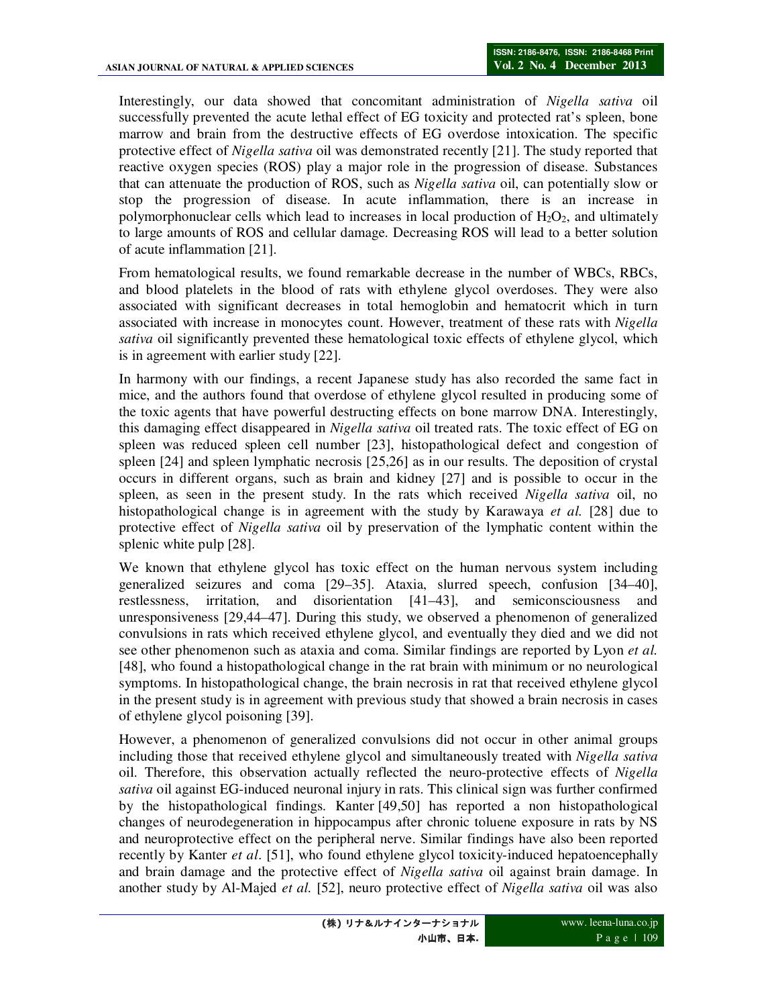Interestingly, our data showed that concomitant administration of *Nigella sativa* oil successfully prevented the acute lethal effect of EG toxicity and protected rat's spleen, bone marrow and brain from the destructive effects of EG overdose intoxication. The specific protective effect of *Nigella sativa* oil was demonstrated recently [21]. The study reported that reactive oxygen species (ROS) play a major role in the progression of disease. Substances that can attenuate the production of ROS, such as *Nigella sativa* oil, can potentially slow or stop the progression of disease. In acute inflammation, there is an increase in polymorphonuclear cells which lead to increases in local production of  $H_2O_2$ , and ultimately to large amounts of ROS and cellular damage. Decreasing ROS will lead to a better solution of acute inflammation [21].

From hematological results, we found remarkable decrease in the number of WBCs, RBCs, and blood platelets in the blood of rats with ethylene glycol overdoses. They were also associated with significant decreases in total hemoglobin and hematocrit which in turn associated with increase in monocytes count. However, treatment of these rats with *Nigella sativa* oil significantly prevented these hematological toxic effects of ethylene glycol, which is in agreement with earlier study [22].

In harmony with our findings, a recent Japanese study has also recorded the same fact in mice, and the authors found that overdose of ethylene glycol resulted in producing some of the toxic agents that have powerful destructing effects on bone marrow DNA. Interestingly, this damaging effect disappeared in *Nigella sativa* oil treated rats. The toxic effect of EG on spleen was reduced spleen cell number [23], histopathological defect and congestion of spleen [24] and spleen lymphatic necrosis [25,26] as in our results. The deposition of crystal occurs in different organs, such as brain and kidney [27] and is possible to occur in the spleen, as seen in the present study. In the rats which received *Nigella sativa* oil, no histopathological change is in agreement with the study by Karawaya *et al.* [28] due to protective effect of *Nigella sativa* oil by preservation of the lymphatic content within the splenic white pulp [28].

We known that ethylene glycol has toxic effect on the human nervous system including generalized seizures and coma [29–35]. Ataxia, slurred speech, confusion [34–40], restlessness, irritation, and disorientation [41–43], and semiconsciousness and unresponsiveness [29,44–47]. During this study, we observed a phenomenon of generalized convulsions in rats which received ethylene glycol, and eventually they died and we did not see other phenomenon such as ataxia and coma. Similar findings are reported by Lyon *et al.* [48], who found a histopathological change in the rat brain with minimum or no neurological symptoms. In histopathological change, the brain necrosis in rat that received ethylene glycol in the present study is in agreement with previous study that showed a brain necrosis in cases of ethylene glycol poisoning [39].

However, a phenomenon of generalized convulsions did not occur in other animal groups including those that received ethylene glycol and simultaneously treated with *Nigella sativa* oil. Therefore, this observation actually reflected the neuro-protective effects of *Nigella sativa* oil against EG-induced neuronal injury in rats. This clinical sign was further confirmed by the histopathological findings. Kanter [49,50] has reported a non histopathological changes of neurodegeneration in hippocampus after chronic toluene exposure in rats by NS and neuroprotective effect on the peripheral nerve. Similar findings have also been reported recently by Kanter *et al*. [51], who found ethylene glycol toxicity-induced hepatoencephally and brain damage and the protective effect of *Nigella sativa* oil against brain damage. In another study by Al-Majed *et al.* [52], neuro protective effect of *Nigella sativa* oil was also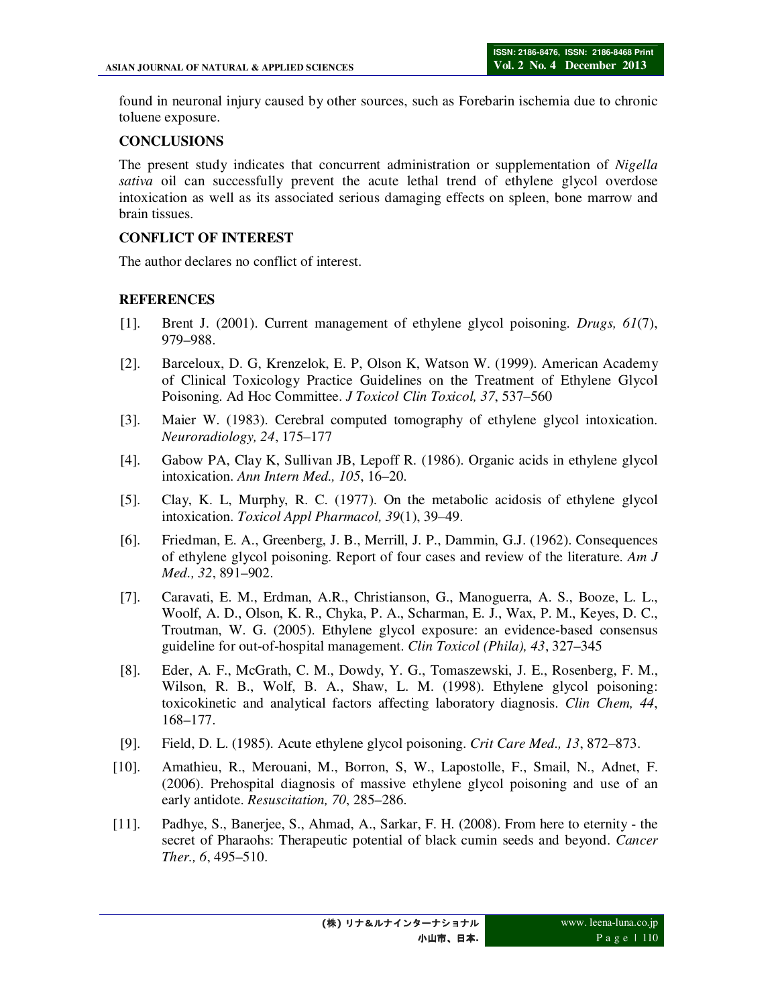found in neuronal injury caused by other sources, such as Forebarin ischemia due to chronic toluene exposure.

### **CONCLUSIONS**

The present study indicates that concurrent administration or supplementation of *Nigella sativa* oil can successfully prevent the acute lethal trend of ethylene glycol overdose intoxication as well as its associated serious damaging effects on spleen, bone marrow and brain tissues.

# **CONFLICT OF INTEREST**

The author declares no conflict of interest.

# **REFERENCES**

- [1]. Brent J. (2001). Current management of ethylene glycol poisoning. *Drugs, 61*(7), 979–988.
- [2]. Barceloux, D. G, Krenzelok, E. P, Olson K, Watson W. (1999). American Academy of Clinical Toxicology Practice Guidelines on the Treatment of Ethylene Glycol Poisoning. Ad Hoc Committee. *J Toxicol Clin Toxicol, 37*, 537–560
- [3]. Maier W. (1983). Cerebral computed tomography of ethylene glycol intoxication. *Neuroradiology, 24*, 175–177
- [4]. Gabow PA, Clay K, Sullivan JB, Lepoff R. (1986). Organic acids in ethylene glycol intoxication. *Ann Intern Med., 105*, 16–20.
- [5]. Clay, K. L, Murphy, R. C. (1977). On the metabolic acidosis of ethylene glycol intoxication. *Toxicol Appl Pharmacol, 39*(1), 39–49.
- [6]. Friedman, E. A., Greenberg, J. B., Merrill, J. P., Dammin, G.J. (1962). Consequences of ethylene glycol poisoning. Report of four cases and review of the literature. *Am J Med., 32*, 891–902.
- [7]. Caravati, E. M., Erdman, A.R., Christianson, G., Manoguerra, A. S., Booze, L. L., Woolf, A. D., Olson, K. R., Chyka, P. A., Scharman, E. J., Wax, P. M., Keyes, D. C., Troutman, W. G. (2005). Ethylene glycol exposure: an evidence-based consensus guideline for out-of-hospital management. *Clin Toxicol (Phila), 43*, 327–345
- [8]. Eder, A. F., McGrath, C. M., Dowdy, Y. G., Tomaszewski, J. E., Rosenberg, F. M., Wilson, R. B., Wolf, B. A., Shaw, L. M. (1998). Ethylene glycol poisoning: toxicokinetic and analytical factors affecting laboratory diagnosis. *Clin Chem, 44*, 168–177.
- [9]. Field, D. L. (1985). Acute ethylene glycol poisoning. *Crit Care Med., 13*, 872–873.
- [10]. Amathieu, R., Merouani, M., Borron, S, W., Lapostolle, F., Smail, N., Adnet, F. (2006). Prehospital diagnosis of massive ethylene glycol poisoning and use of an early antidote. *Resuscitation, 70*, 285–286.
- [11]. Padhye, S., Banerjee, S., Ahmad, A., Sarkar, F. H. (2008). From here to eternity the secret of Pharaohs: Therapeutic potential of black cumin seeds and beyond. *Cancer Ther., 6*, 495–510.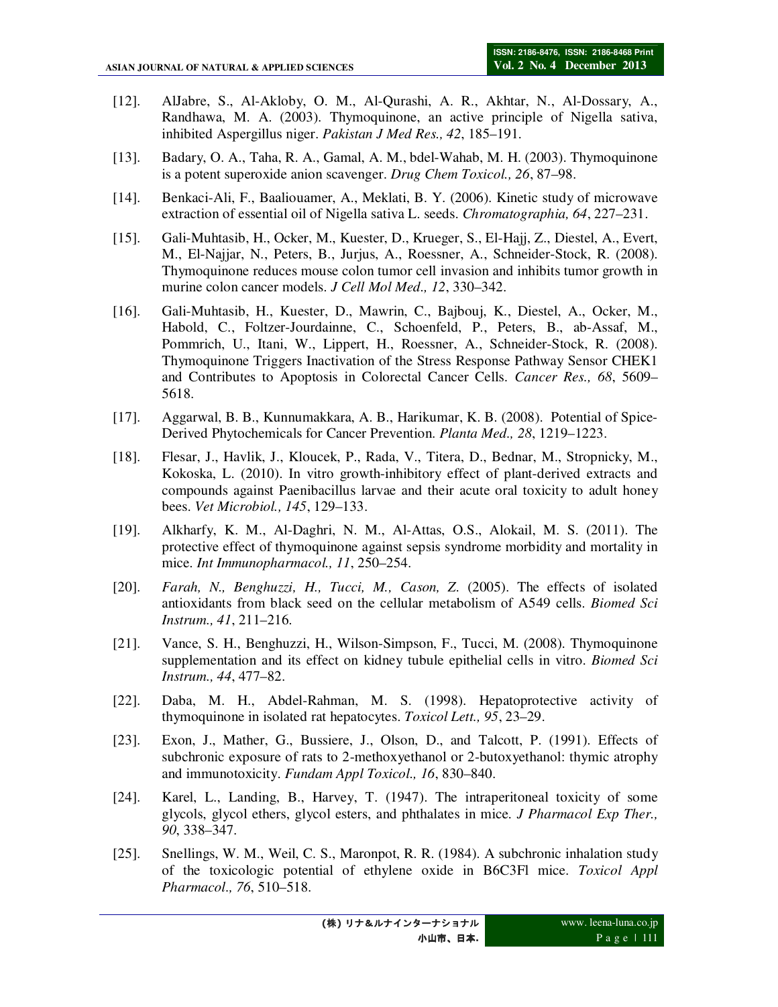- [12]. AlJabre, S., Al-Akloby, O. M., Al-Qurashi, A. R., Akhtar, N., Al-Dossary, A., Randhawa, M. A. (2003). Thymoquinone, an active principle of Nigella sativa, inhibited Aspergillus niger. *Pakistan J Med Res., 42*, 185–191.
- [13]. Badary, O. A., Taha, R. A., Gamal, A. M., bdel-Wahab, M. H. (2003). Thymoquinone is a potent superoxide anion scavenger. *Drug Chem Toxicol., 26*, 87–98.
- [14]. Benkaci-Ali, F., Baaliouamer, A., Meklati, B. Y. (2006). Kinetic study of microwave extraction of essential oil of Nigella sativa L. seeds. *Chromatographia, 64*, 227–231.
- [15]. Gali-Muhtasib, H., Ocker, M., Kuester, D., Krueger, S., El-Hajj, Z., Diestel, A., Evert, M., El-Najjar, N., Peters, B., Jurjus, A., Roessner, A., Schneider-Stock, R. (2008). Thymoquinone reduces mouse colon tumor cell invasion and inhibits tumor growth in murine colon cancer models. *J Cell Mol Med., 12*, 330–342.
- [16]. Gali-Muhtasib, H., Kuester, D., Mawrin, C., Bajbouj, K., Diestel, A., Ocker, M., Habold, C., Foltzer-Jourdainne, C., Schoenfeld, P., Peters, B., ab-Assaf, M., Pommrich, U., Itani, W., Lippert, H., Roessner, A., Schneider-Stock, R. (2008). Thymoquinone Triggers Inactivation of the Stress Response Pathway Sensor CHEK1 and Contributes to Apoptosis in Colorectal Cancer Cells. *Cancer Res., 68*, 5609– 5618.
- [17]. Aggarwal, B. B., Kunnumakkara, A. B., Harikumar, K. B. (2008). Potential of Spice-Derived Phytochemicals for Cancer Prevention. *Planta Med., 28*, 1219–1223.
- [18]. Flesar, J., Havlik, J., Kloucek, P., Rada, V., Titera, D., Bednar, M., Stropnicky, M., Kokoska, L. (2010). In vitro growth-inhibitory effect of plant-derived extracts and compounds against Paenibacillus larvae and their acute oral toxicity to adult honey bees. *Vet Microbiol., 145*, 129–133.
- [19]. Alkharfy, K. M., Al-Daghri, N. M., Al-Attas, O.S., Alokail, M. S. (2011). The protective effect of thymoquinone against sepsis syndrome morbidity and mortality in mice. *Int Immunopharmacol., 11*, 250–254.
- [20]. *Farah, N., Benghuzzi, H., Tucci, M., Cason, Z*. (2005). The effects of isolated antioxidants from black seed on the cellular metabolism of A549 cells. *Biomed Sci Instrum., 41*, 211–216.
- [21]. Vance, S. H., Benghuzzi, H., Wilson-Simpson, F., Tucci, M. (2008). Thymoquinone supplementation and its effect on kidney tubule epithelial cells in vitro. *Biomed Sci Instrum., 44*, 477–82.
- [22]. Daba, M. H., Abdel-Rahman, M. S. (1998). Hepatoprotective activity of thymoquinone in isolated rat hepatocytes. *Toxicol Lett., 95*, 23–29.
- [23]. Exon, J., Mather, G., Bussiere, J., Olson, D., and Talcott, P. (1991). Effects of subchronic exposure of rats to 2-methoxyethanol or 2-butoxyethanol: thymic atrophy and immunotoxicity. *Fundam Appl Toxicol., 16*, 830–840.
- [24]. Karel, L., Landing, B., Harvey, T. (1947). The intraperitoneal toxicity of some glycols, glycol ethers, glycol esters, and phthalates in mice. *J Pharmacol Exp Ther., 90*, 338–347.
- [25]. Snellings, W. M., Weil, C. S., Maronpot, R. R. (1984). A subchronic inhalation study of the toxicologic potential of ethylene oxide in B6C3Fl mice. *Toxicol Appl Pharmacol., 76*, 510–518.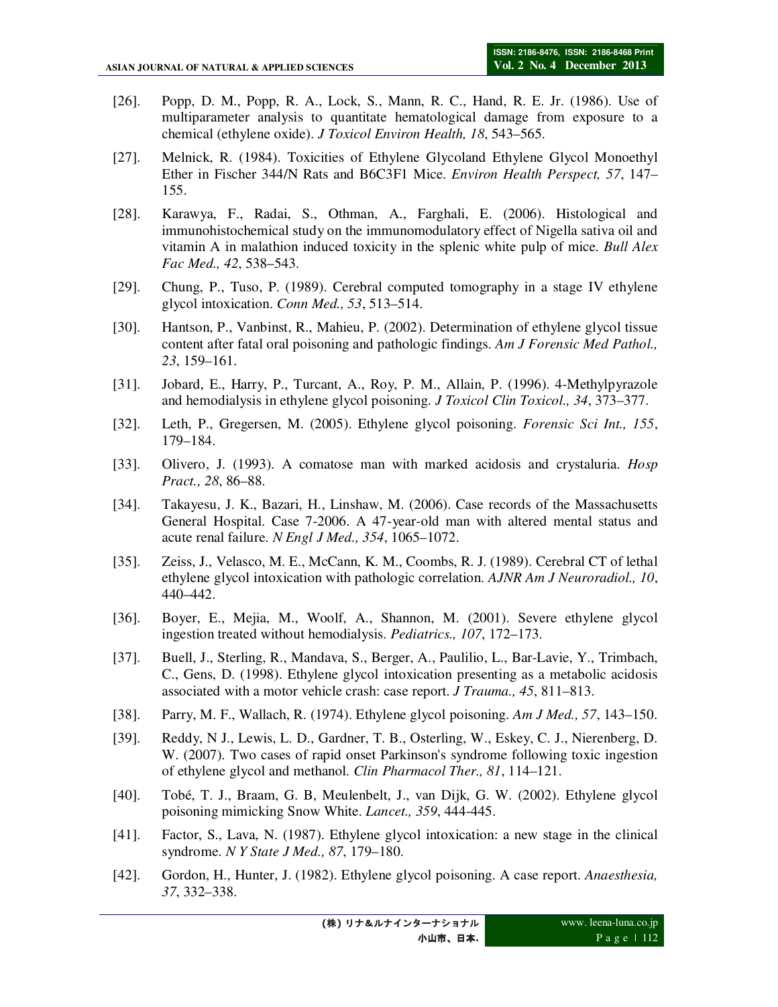- [26]. Popp, D. M., Popp, R. A., Lock, S., Mann, R. C., Hand, R. E. Jr. (1986). Use of multiparameter analysis to quantitate hematological damage from exposure to a chemical (ethylene oxide). *J Toxicol Environ Health, 18*, 543–565.
- [27]. Melnick, R. (1984). Toxicities of Ethylene Glycoland Ethylene Glycol Monoethyl Ether in Fischer 344/N Rats and B6C3F1 Mice. *Environ Health Perspect, 57*, 147– 155.
- [28]. Karawya, F., Radai, S., Othman, A., Farghali, E. (2006). Histological and immunohistochemical study on the immunomodulatory effect of Nigella sativa oil and vitamin A in malathion induced toxicity in the splenic white pulp of mice. *Bull Alex Fac Med., 42*, 538–543.
- [29]. Chung, P., Tuso, P. (1989). Cerebral computed tomography in a stage IV ethylene glycol intoxication. *Conn Med., 53*, 513–514.
- [30]. Hantson, P., Vanbinst, R., Mahieu, P. (2002). Determination of ethylene glycol tissue content after fatal oral poisoning and pathologic findings. *Am J Forensic Med Pathol., 23*, 159–161.
- [31]. Jobard, E., Harry, P., Turcant, A., Roy, P. M., Allain, P. (1996). 4-Methylpyrazole and hemodialysis in ethylene glycol poisoning. *J Toxicol Clin Toxicol., 34*, 373–377.
- [32]. Leth, P., Gregersen, M. (2005). Ethylene glycol poisoning. *Forensic Sci Int., 155*, 179–184.
- [33]. Olivero, J. (1993). A comatose man with marked acidosis and crystaluria. *Hosp Pract., 28*, 86–88.
- [34]. Takayesu, J. K., Bazari, H., Linshaw, M. (2006). Case records of the Massachusetts General Hospital. Case 7-2006. A 47-year-old man with altered mental status and acute renal failure. *N Engl J Med., 354*, 1065–1072.
- [35]. Zeiss, J., Velasco, M. E., McCann, K. M., Coombs, R. J. (1989). Cerebral CT of lethal ethylene glycol intoxication with pathologic correlation. *AJNR Am J Neuroradiol., 10*, 440–442.
- [36]. Boyer, E., Mejia, M., Woolf, A., Shannon, M. (2001). Severe ethylene glycol ingestion treated without hemodialysis. *Pediatrics., 107*, 172–173.
- [37]. Buell, J., Sterling, R., Mandava, S., Berger, A., Paulilio, L., Bar-Lavie, Y., Trimbach, C., Gens, D. (1998). Ethylene glycol intoxication presenting as a metabolic acidosis associated with a motor vehicle crash: case report. *J Trauma., 45*, 811–813.
- [38]. Parry, M. F., Wallach, R. (1974). Ethylene glycol poisoning. *Am J Med., 57*, 143–150.
- [39]. Reddy, N J., Lewis, L. D., Gardner, T. B., Osterling, W., Eskey, C. J., Nierenberg, D. W. (2007). Two cases of rapid onset Parkinson's syndrome following toxic ingestion of ethylene glycol and methanol. *Clin Pharmacol Ther., 81*, 114–121.
- [40]. Tobé, T. J., Braam, G. B, Meulenbelt, J., van Dijk, G. W. (2002). Ethylene glycol poisoning mimicking Snow White. *Lancet., 359*, 444-445.
- [41]. Factor, S., Lava, N. (1987). Ethylene glycol intoxication: a new stage in the clinical syndrome. *N Y State J Med., 87*, 179–180.
- [42]. Gordon, H., Hunter, J. (1982). Ethylene glycol poisoning. A case report. *Anaesthesia, 37*, 332–338.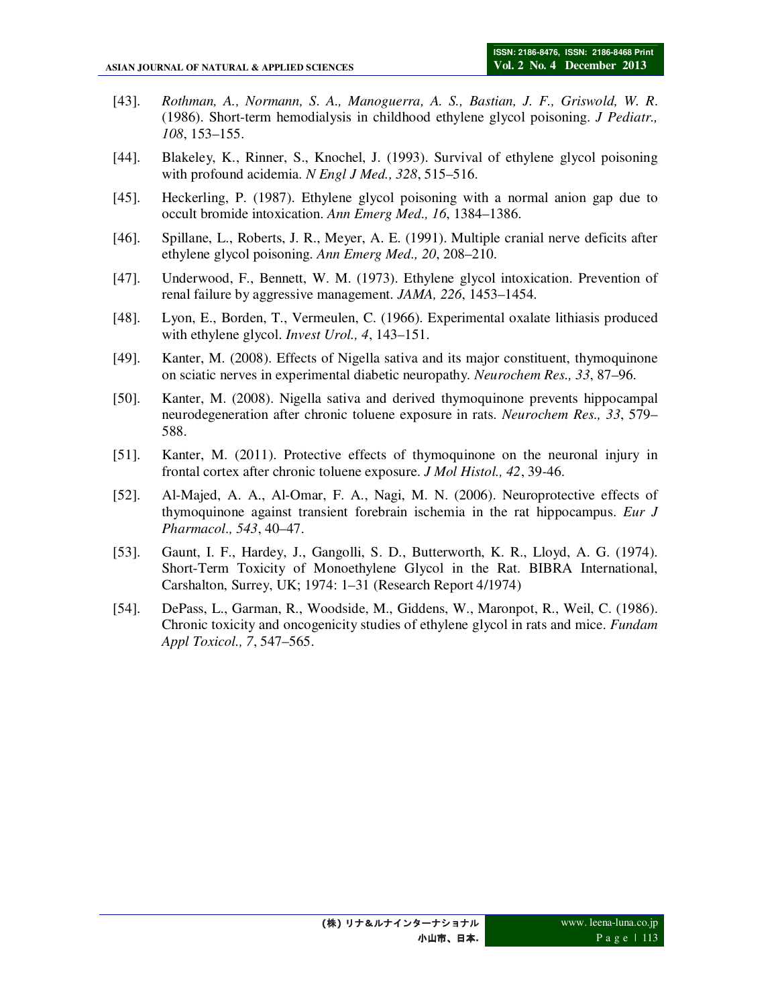- [43]. *Rothman, A., Normann, S. A., Manoguerra, A. S., Bastian, J. F., Griswold, W. R*. (1986). Short-term hemodialysis in childhood ethylene glycol poisoning. *J Pediatr., 108*, 153–155.
- [44]. Blakeley, K., Rinner, S., Knochel, J. (1993). Survival of ethylene glycol poisoning with profound acidemia. *N Engl J Med., 328*, 515–516.
- [45]. Heckerling, P. (1987). Ethylene glycol poisoning with a normal anion gap due to occult bromide intoxication. *Ann Emerg Med., 16*, 1384–1386.
- [46]. Spillane, L., Roberts, J. R., Meyer, A. E. (1991). Multiple cranial nerve deficits after ethylene glycol poisoning. *Ann Emerg Med., 20*, 208–210.
- [47]. Underwood, F., Bennett, W. M. (1973). Ethylene glycol intoxication. Prevention of renal failure by aggressive management. *JAMA, 226*, 1453–1454.
- [48]. Lyon, E., Borden, T., Vermeulen, C. (1966). Experimental oxalate lithiasis produced with ethylene glycol. *Invest Urol., 4*, 143–151.
- [49]. Kanter, M. (2008). Effects of Nigella sativa and its major constituent, thymoquinone on sciatic nerves in experimental diabetic neuropathy. *Neurochem Res., 33*, 87–96.
- [50]. Kanter, M. (2008). Nigella sativa and derived thymoquinone prevents hippocampal neurodegeneration after chronic toluene exposure in rats. *Neurochem Res., 33*, 579– 588.
- [51]. Kanter, M. (2011). Protective effects of thymoquinone on the neuronal injury in frontal cortex after chronic toluene exposure. *J Mol Histol., 42*, 39-46.
- [52]. Al-Majed, A. A., Al-Omar, F. A., Nagi, M. N. (2006). Neuroprotective effects of thymoquinone against transient forebrain ischemia in the rat hippocampus. *Eur J Pharmacol., 543*, 40–47.
- [53]. Gaunt, I. F., Hardey, J., Gangolli, S. D., Butterworth, K. R., Lloyd, A. G. (1974). Short-Term Toxicity of Monoethylene Glycol in the Rat. BIBRA International, Carshalton, Surrey, UK; 1974: 1–31 (Research Report 4/1974)
- [54]. DePass, L., Garman, R., Woodside, M., Giddens, W., Maronpot, R., Weil, C. (1986). Chronic toxicity and oncogenicity studies of ethylene glycol in rats and mice. *Fundam Appl Toxicol., 7*, 547–565.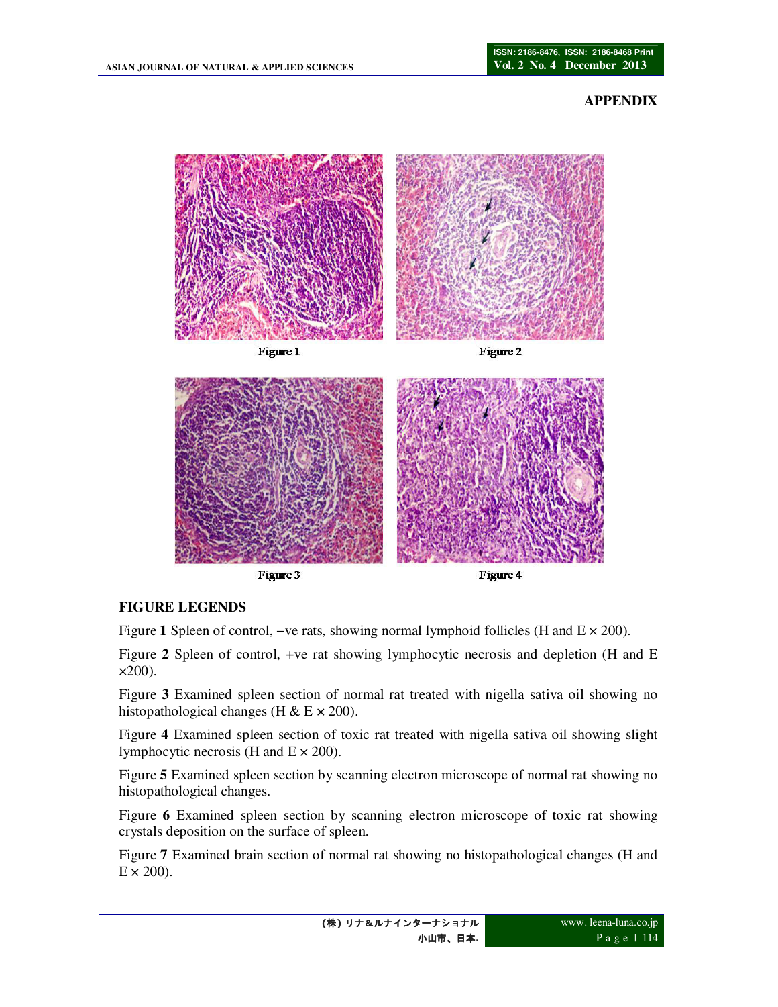### **APPENDIX**



# **FIGURE LEGENDS**

Figure **1** Spleen of control, −ve rats, showing normal lymphoid follicles (H and E × 200).

Figure **2** Spleen of control, +ve rat showing lymphocytic necrosis and depletion (H and E  $\times 200$ ).

Figure **3** Examined spleen section of normal rat treated with nigella sativa oil showing no histopathological changes (H  $\&$  E  $\times$  200).

Figure **4** Examined spleen section of toxic rat treated with nigella sativa oil showing slight lymphocytic necrosis (H and  $E \times 200$ ).

Figure **5** Examined spleen section by scanning electron microscope of normal rat showing no histopathological changes.

Figure **6** Examined spleen section by scanning electron microscope of toxic rat showing crystals deposition on the surface of spleen.

Figure **7** Examined brain section of normal rat showing no histopathological changes (H and  $E \times 200$ ).